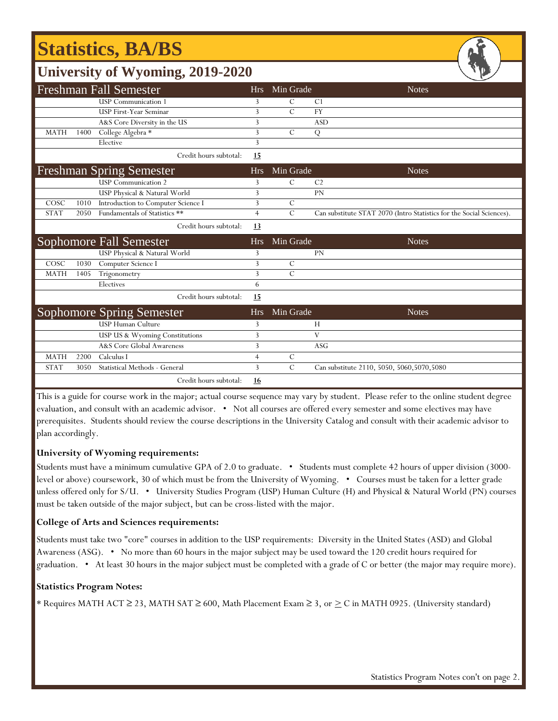# **Statistics, BA/BS**

### Freshman Fall Semester Hrs Min Grade Notes USP Communication 1 3 C C1 USP First-Year Seminar 3 C FY A&S Core Diversity in the US 3 ASD MATH 1400 College Algebra \* 3 C Q Elective 3 Credit hours subtotal: **15** Freshman Spring Semester Hrs Min Grade Notes USP Communication 2 3 C C2 USP Physical & Natural World 3 PN COSC 1010 Introduction to Computer Science I 3 C STAT 2050 Fundamentals of Statistics \*\* 4 C Can substitute STAT 2070 (Intro Statistics for the Social Sciences). Credit hours subtotal: **13** Sophomore Fall Semester Hrs Min Grade Notes USP Physical & Natural World 3 PN COSC 1030 Computer Science I 3 C MATH 1405 Trigonometry 3 C Electives 6 Credit hours subtotal: **15** Sophomore Spring Semester The Hrs Min Grade Notes Notes USP Human Culture 3 H USP US & Wyoming Constitutions 3 V A&S Core Global Awareness 3 ASG MATH 2200 Calculus I 4 C STAT 3050 Statistical Methods - General 3 C Can substitute 2110, 5050, 5060,5070,5080 Credit hours subtotal: **16 University of Wyoming, 2019-2020**

This is a guide for course work in the major; actual course sequence may vary by student. Please refer to the online student degree evaluation, and consult with an academic advisor. • Not all courses are offered every semester and some electives may have prerequisites. Students should review the course descriptions in the University Catalog and consult with their academic advisor to plan accordingly.

### **University of Wyoming requirements:**

Students must have a minimum cumulative GPA of 2.0 to graduate. • Students must complete 42 hours of upper division (3000 level or above) coursework, 30 of which must be from the University of Wyoming. • Courses must be taken for a letter grade unless offered only for S/U. • University Studies Program (USP) Human Culture (H) and Physical & Natural World (PN) courses must be taken outside of the major subject, but can be cross-listed with the major.

### **College of Arts and Sciences requirements:**

Students must take two "core" courses in addition to the USP requirements: Diversity in the United States (ASD) and Global Awareness (ASG). • No more than 60 hours in the major subject may be used toward the 120 credit hours required for graduation. • At least 30 hours in the major subject must be completed with a grade of C or better (the major may require more).

### **Statistics Program Notes:**

f

\* Requires MATH ACT ≥ 23, MATH SAT ≥ 600, Math Placement Exam ≥ 3, or  $\geq C$  in MATH 0925. (University standard)